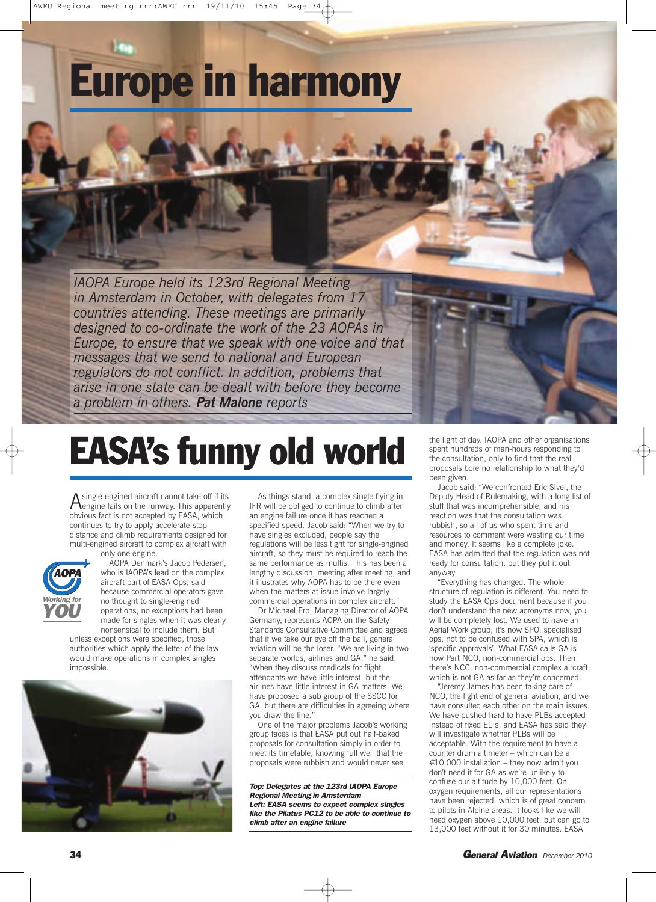# **Europe in harmony**

*IAOPA Europe held its 123rd Regional Meeting in Amsterdam in October, with delegates from 17 countries attending. These meetings are primarily designed to co-ordinate the work of the 23 AOPAs in Europe, to ensure that we speak with one voice and that messages that we send to national and European regulators do not conflict. In addition, problems that arise in one state can be dealt with before they become a problem in others. Pat Malone reports*

# **EASA's funny old world**

Asingle-engined aircraft cannot take off if its engine fails on the runway. This apparently obvious fact is not accepted by EASA, which continues to try to apply accelerate-stop distance and climb requirements designed for multi-engined aircraft to complex aircraft with



only one engine. AOPA Denmark's Jacob Pedersen, who is IAOPA's lead on the complex aircraft part of EASA Ops, said because commercial operators gave no thought to single-engined operations, no exceptions had been made for singles when it was clearly nonsensical to include them. But

unless exceptions were specified, those authorities which apply the letter of the law would make operations in complex singles impossible.



As things stand, a complex single flying in IFR will be obliged to continue to climb after an engine failure once it has reached a specified speed. Jacob said: "When we try to have singles excluded, people say the regulations will be less tight for single-engined aircraft, so they must be required to reach the same performance as multis. This has been a lengthy discussion, meeting after meeting, and it illustrates why AOPA has to be there even when the matters at issue involve largely commercial operations in complex aircraft."

Dr Michael Erb, Managing Director of AOPA Germany, represents AOPA on the Safety Standards Consultative Committee and agrees that if we take our eye off the ball, general aviation will be the loser. "We are living in two separate worlds, airlines and GA," he said. "When they discuss medicals for flight attendants we have little interest, but the airlines have little interest in GA matters. We have proposed a sub group of the SSCC for GA, but there are difficulties in agreeing where you draw the line."

One of the major problems Jacob's working group faces is that EASA put out half-baked proposals for consultation simply in order to meet its timetable, knowing full well that the proposals were rubbish and would never see

*Top: Delegates at the 123rd IAOPA Europe Regional Meeting in Amsterdam Left: EASA seems to expect complex singles like the Pilatus PC12 to be able to continue to climb after an engine failure*

the light of day. IAOPA and other organisations spent hundreds of man-hours responding to the consultation, only to find that the real proposals bore no relationship to what they'd been given.

Jacob said: "We confronted Eric Sivel, the Deputy Head of Rulemaking, with a long list of stuff that was incomprehensible, and his reaction was that the consultation was rubbish, so all of us who spent time and resources to comment were wasting our time and money. It seems like a complete joke. EASA has admitted that the regulation was not ready for consultation, but they put it out anyway.

"Everything has changed. The whole structure of regulation is different. You need to study the EASA Ops document because if you don't understand the new acronyms now, you will be completely lost. We used to have an Aerial Work group; it's now SPO, specialised ops, not to be confused with SPA, which is 'specific approvals'. What EASA calls GA is now Part NCO, non-commercial ops. Then there's NCC, non-commercial complex aircraft, which is not GA as far as they're concerned.

"Jeremy James has been taking care of NCO, the light end of general aviation, and we have consulted each other on the main issues. We have pushed hard to have PLBs accepted instead of fixed ELTs, and EASA has said they will investigate whether PLBs will be acceptable. With the requirement to have a counter drum altimeter – which can be a  $€10,000$  installation – they now admit you don't need it for GA as we're unlikely to confuse our altitude by 10,000 feet. On oxygen requirements, all our representations have been rejected, which is of great concern to pilots in Alpine areas. It looks like we will need oxygen above 10,000 feet, but can go to 13,000 feet without it for 30 minutes. EASA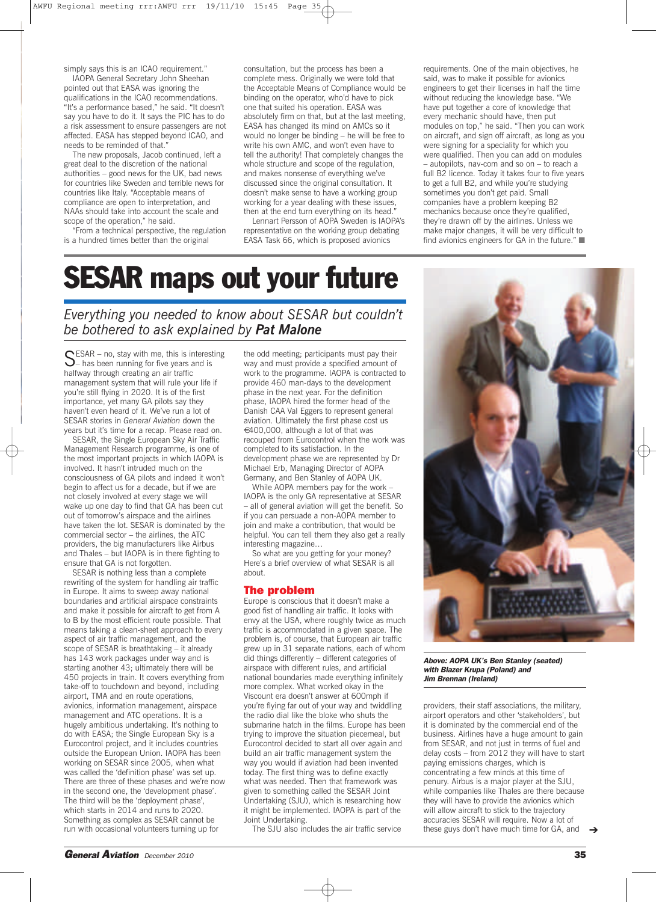simply says this is an ICAO requirement."

IAOPA General Secretary John Sheehan pointed out that EASA was ignoring the qualifications in the ICAO recommendations. "It's a performance based," he said. "It doesn't say you have to do it. It says the PIC has to do a risk assessment to ensure passengers are not affected. EASA has stepped beyond ICAO, and needs to be reminded of that."

The new proposals, Jacob continued, left a great deal to the discretion of the national authorities – good news for the UK, bad news for countries like Sweden and terrible news for countries like Italy. "Acceptable means of compliance are open to interpretation, and NAAs should take into account the scale and scope of the operation," he said.

"From a technical perspective, the regulation is a hundred times better than the original

consultation, but the process has been a complete mess. Originally we were told that the Acceptable Means of Compliance would be binding on the operator, who'd have to pick one that suited his operation. EASA was absolutely firm on that, but at the last meeting, EASA has changed its mind on AMCs so it would no longer be binding – he will be free to write his own AMC, and won't even have to tell the authority! That completely changes the whole structure and scope of the regulation, and makes nonsense of everything we've discussed since the original consultation. It doesn't make sense to have a working group working for a year dealing with these issues, then at the end turn everything on its head.

Lennart Persson of AOPA Sweden is IAOPA's representative on the working group debating EASA Task 66, which is proposed avionics

requirements. One of the main objectives, he said, was to make it possible for avionics engineers to get their licenses in half the time without reducing the knowledge base. "We have put together a core of knowledge that every mechanic should have, then put modules on top," he said. "Then you can work on aircraft, and sign off aircraft, as long as you were signing for a speciality for which you were qualified. Then you can add on modules – autopilots, nav-com and so on – to reach a full B2 licence. Today it takes four to five years to get a full B2, and while you're studying sometimes you don't get paid. Small companies have a problem keeping B2 mechanics because once they're qualified, they're drawn off by the airlines. Unless we make major changes, it will be very difficult to find avionics engineers for GA in the future." ■

## **SESAR maps out your future**

*Everything you needed to know about SESAR but couldn't be bothered to ask explained by Pat Malone*

SESAR – no, stay with me, this is interesting<br>
— has been running for five years and is halfway through creating an air traffic management system that will rule your life if you're still flying in 2020. It is of the first importance, yet many GA pilots say they haven't even heard of it. We've run a lot of SESAR stories in *General Aviation* down the years but it's time for a recap. Please read on.

SESAR, the Single European Sky Air Traffic Management Research programme, is one of the most important projects in which IAOPA is involved. It hasn't intruded much on the consciousness of GA pilots and indeed it won't begin to affect us for a decade, but if we are not closely involved at every stage we will wake up one day to find that GA has been cut out of tomorrow's airspace and the airlines have taken the lot. SESAR is dominated by the commercial sector – the airlines, the ATC providers, the big manufacturers like Airbus and Thales – but IAOPA is in there fighting to ensure that GA is not forgotten.

SESAR is nothing less than a complete rewriting of the system for handling air traffic in Europe. It aims to sweep away national boundaries and artificial airspace constraints and make it possible for aircraft to get from A to B by the most efficient route possible. That means taking a clean-sheet approach to every aspect of air traffic management, and the scope of SESAR is breathtaking – it already has 143 work packages under way and is starting another 43; ultimately there will be 450 projects in train. It covers everything from take-off to touchdown and beyond, including airport, TMA and en route operations, avionics, information management, airspace management and ATC operations. It is a hugely ambitious undertaking. It's nothing to do with EASA; the Single European Sky is a Eurocontrol project, and it includes countries outside the European Union. IAOPA has been working on SESAR since 2005, when what was called the 'definition phase' was set up. There are three of these phases and we're now in the second one, the 'development phase'. The third will be the 'deployment phase', which starts in 2014 and runs to 2020. Something as complex as SESAR cannot be run with occasional volunteers turning up for

the odd meeting; participants must pay their way and must provide a specified amount of work to the programme. IAOPA is contracted to provide 460 man-days to the development phase in the next year. For the definition phase, IAOPA hired the former head of the Danish CAA Val Eggers to represent general aviation. Ultimately the first phase cost us €400,000, although a lot of that was recouped from Eurocontrol when the work was completed to its satisfaction. In the development phase we are represented by Dr Michael Erb, Managing Director of AOPA Germany, and Ben Stanley of AOPA UK.

While AOPA members pay for the work – IAOPA is the only GA representative at SESAR – all of general aviation will get the benefit. So if you can persuade a non-AOPA member to join and make a contribution, that would be helpful. You can tell them they also get a really interesting magazine…

So what are you getting for your money? Here's a brief overview of what SESAR is all about.

#### **The problem**

Europe is conscious that it doesn't make a good fist of handling air traffic. It looks with envy at the USA, where roughly twice as much traffic is accommodated in a given space. The problem is, of course, that European air traffic grew up in 31 separate nations, each of whom did things differently – different categories of airspace with different rules, and artificial national boundaries made everything infinitely more complex. What worked okay in the Viscount era doesn't answer at 600mph if you're flying far out of your way and twiddling the radio dial like the bloke who shuts the submarine hatch in the films. Europe has been trying to improve the situation piecemeal, but Eurocontrol decided to start all over again and build an air traffic management system the way you would if aviation had been invented today. The first thing was to define exactly what was needed. Then that framework was given to something called the SESAR Joint Undertaking (SJU), which is researching how it might be implemented. IAOPA is part of the Joint Undertaking.

The SJU also includes the air traffic service



*Above: AOPA UK's Ben Stanley (seated) with Blazer Krupa (Poland) and Jim Brennan (Ireland)*

providers, their staff associations, the military, airport operators and other 'stakeholders', but it is dominated by the commercial end of the business. Airlines have a huge amount to gain from SESAR, and not just in terms of fuel and delay costs – from 2012 they will have to start paying emissions charges, which is concentrating a few minds at this time of penury. Airbus is a major player at the SJU, while companies like Thales are there because they will have to provide the avionics which will allow aircraft to stick to the trajectory accuracies SESAR will require. Now a lot of these guys don't have much time for GA, and ➔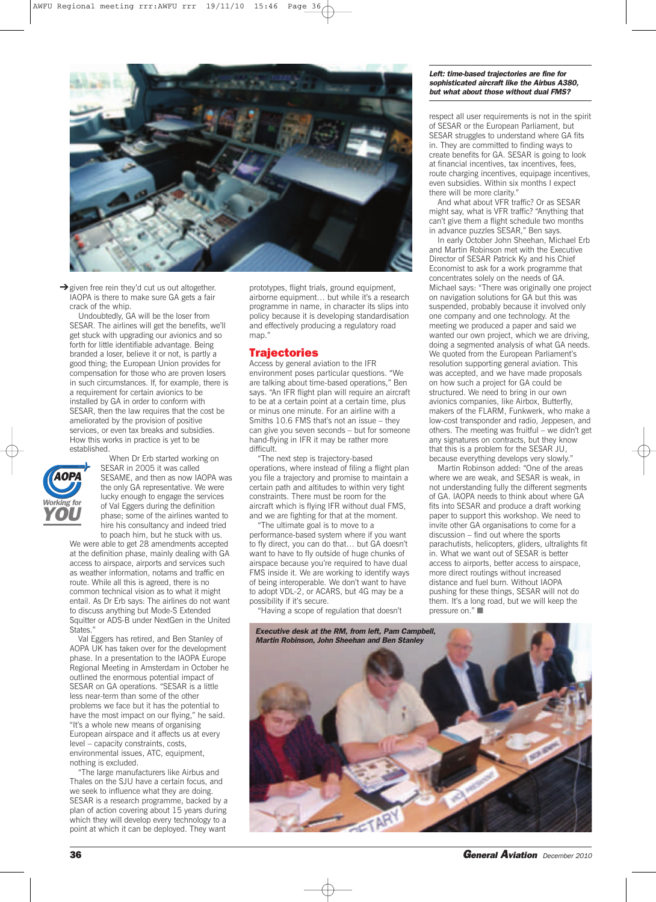

→ given free rein they'd cut us out altogether. IAOPA is there to make sure GA gets a fair crack of the whip.

Undoubtedly, GA will be the loser from SESAR. The airlines will get the benefits, we'll get stuck with upgrading our avionics and so forth for little identifiable advantage. Being branded a loser, believe it or not, is partly a good thing; the European Union provides for compensation for those who are proven losers in such circumstances. If, for example, there is a requirement for certain avionics to be installed by GA in order to conform with SESAR, then the law requires that the cost be ameliorated by the provision of positive services, or even tax breaks and subsidies. How this works in practice is yet to be established.



When Dr Erb started working on SESAR in 2005 it was called SESAME, and then as now IAOPA was the only GA representative. We were lucky enough to engage the services of Val Eggers during the definition phase; some of the airlines wanted to hire his consultancy and indeed tried to poach him, but he stuck with us.

We were able to get 28 amendments accepted at the definition phase, mainly dealing with GA access to airspace, airports and services such as weather information, notams and traffic en route. While all this is agreed, there is no common technical vision as to what it might entail. As Dr Erb says: The airlines do not want to discuss anything but Mode-S Extended Squitter or ADS-B under NextGen in the United States."

Val Eggers has retired, and Ben Stanley of AOPA UK has taken over for the development phase. In a presentation to the IAOPA Europe Regional Meeting in Amsterdam in October he outlined the enormous potential impact of SESAR on GA operations. "SESAR is a little less near-term than some of the other problems we face but it has the potential to have the most impact on our flying," he said. "It's a whole new means of organising European airspace and it affects us at every level – capacity constraints, costs, environmental issues, ATC, equipment, nothing is excluded.

"The large manufacturers like Airbus and Thales on the SJU have a certain focus, and we seek to influence what they are doing. SESAR is a research programme, backed by a plan of action covering about 15 years during which they will develop every technology to a point at which it can be deployed. They want

prototypes, flight trials, ground equipment, airborne equipment… but while it's a research programme in name, in character its slips into policy because it is developing standardisation and effectively producing a regulatory road map."

### **Trajectories**

Access by general aviation to the IFR environment poses particular questions. "We are talking about time-based operations," Ben says. "An IFR flight plan will require an aircraft to be at a certain point at a certain time, plus or minus one minute. For an airline with a Smiths 10.6 FMS that's not an issue – they can give you seven seconds – but for someone hand-flying in IFR it may be rather more difficult.

"The next step is trajectory-based operations, where instead of filing a flight plan you file a trajectory and promise to maintain a certain path and altitudes to within very tight constraints. There must be room for the aircraft which is flying IFR without dual FMS, and we are fighting for that at the moment.

"The ultimate goal is to move to a performance-based system where if you want to fly direct, you can do that… but GA doesn't want to have to fly outside of huge chunks of airspace because you're required to have dual FMS inside it. We are working to identify ways of being interoperable. We don't want to have to adopt VDL-2, or ACARS, but 4G may be a possibility if it's secure.

"Having a scope of regulation that doesn't

#### *Left: time-based trajectories are fine for sophisticated aircraft like the Airbus A380, but what about those without dual FMS?*

respect all user requirements is not in the spirit of SESAR or the European Parliament, but SESAR struggles to understand where GA fits in. They are committed to finding ways to create benefits for GA. SESAR is going to look at financial incentives, tax incentives, fees, route charging incentives, equipage incentives, even subsidies. Within six months I expect there will be more clarity."

And what about VFR traffic? Or as SESAR might say, what is VFR traffic? "Anything that can't give them a flight schedule two months in advance puzzles SESAR," Ben says.

In early October John Sheehan, Michael Erb and Martin Robinson met with the Executive Director of SESAR Patrick Ky and his Chief Economist to ask for a work programme that concentrates solely on the needs of GA. Michael says: "There was originally one project on navigation solutions for GA but this was suspended, probably because it involved only one company and one technology. At the meeting we produced a paper and said we wanted our own project, which we are driving, doing a segmented analysis of what GA needs. We quoted from the European Parliament's resolution supporting general aviation. This was accepted, and we have made proposals on how such a project for GA could be structured. We need to bring in our own avionics companies, like Airbox, Butterfly, makers of the FLARM, Funkwerk, who make a low-cost transponder and radio, Jeppesen, and others. The meeting was fruitful – we didn't get any signatures on contracts, but they know that this is a problem for the SESAR JU, because everything develops very slowly."

Martin Robinson added: "One of the areas where we are weak, and SESAR is weak, in not understanding fully the different segments of GA. IAOPA needs to think about where GA fits into SESAR and produce a draft working paper to support this workshop. We need to invite other GA organisations to come for a discussion – find out where the sports parachutists, helicopters, gliders, ultralights fit in. What we want out of SESAR is better access to airports, better access to airspace, more direct routings without increased distance and fuel burn. Without IAOPA pushing for these things, SESAR will not do them. It's a long road, but we will keep the pressure on." ■



**36** *General Aviation December <sup>2010</sup>*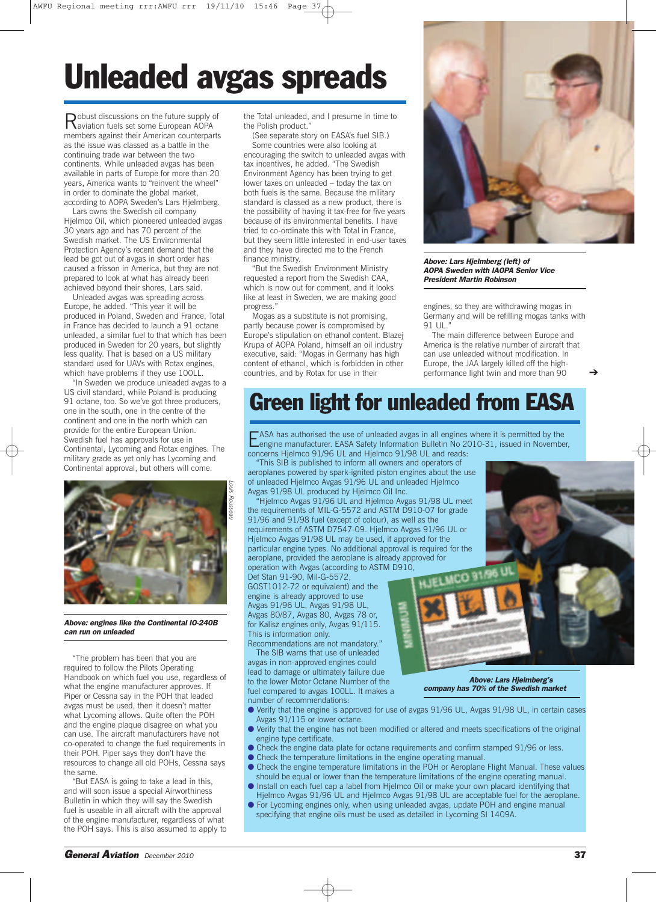# **Unleaded avgas spreads**

Robust discussions on the future supply of aviation fuels set some European AOPA members against their American counterparts as the issue was classed as a battle in the continuing trade war between the two continents. While unleaded avgas has been available in parts of Europe for more than 20 years, America wants to "reinvent the wheel" in order to dominate the global market, according to AOPA Sweden's Lars Hjelmberg.

Lars owns the Swedish oil company Hjelmco Oil, which pioneered unleaded avgas 30 years ago and has 70 percent of the Swedish market. The US Environmental Protection Agency's recent demand that the lead be got out of avgas in short order has caused a frisson in America, but they are not prepared to look at what has already been achieved beyond their shores, Lars said.

Unleaded avgas was spreading across Europe, he added. "This year it will be produced in Poland, Sweden and France. Total in France has decided to launch a 91 octane unleaded, a similar fuel to that which has been produced in Sweden for 20 years, but slightly less quality. That is based on a US military standard used for UAVs with Rotax engines, which have problems if they use 100LL.

"In Sweden we produce unleaded avgas to a US civil standard, while Poland is producing 91 octane, too. So we've got three producers, one in the south, one in the centre of the continent and one in the north which can provide for the entire European Union. Swedish fuel has approvals for use in Continental, Lycoming and Rotax engines. The military grade as yet only has Lycoming and Continental approval, but others will come.



*Above: engines like the Continental IO-240B can run on unleaded*

"The problem has been that you are required to follow the Pilots Operating Handbook on which fuel you use, regardless of what the engine manufacturer approves. If Piper or Cessna say in the POH that leaded avgas must be used, then it doesn't matter what Lycoming allows. Quite often the POH and the engine plaque disagree on what you can use. The aircraft manufacturers have not co-operated to change the fuel requirements in their POH. Piper says they don't have the resources to change all old POHs, Cessna says the same.

"But EASA is going to take a lead in this, and will soon issue a special Airworthiness Bulletin in which they will say the Swedish fuel is useable in all aircraft with the approval of the engine manufacturer, regardless of what the POH says. This is also assumed to apply to

(See separate story on EASA's fuel SIB.) Some countries were also looking at encouraging the switch to unleaded avgas with tax incentives, he added. "The Swedish Environment Agency has been trying to get lower taxes on unleaded – today the tax on both fuels is the same. Because the military standard is classed as a new product, there is the possibility of having it tax-free for five years because of its environmental benefits. I have tried to co-ordinate this with Total in France, but they seem little interested in end-user taxes and they have directed me to the French finance ministry.

"But the Swedish Environment Ministry requested a report from the Swedish CAA, which is now out for comment, and it looks like at least in Sweden, we are making good progress."

Mogas as a substitute is not promising, partly because power is compromised by Europe's stipulation on ethanol content. Blazej Krupa of AOPA Poland, himself an oil industry executive, said: "Mogas in Germany has high content of ethanol, which is forbidden in other countries, and by Rotax for use in their



*Above: Lars Hjelmberg (left) of AOPA Sweden with IAOPA Senior Vice President Martin Robinson*

engines, so they are withdrawing mogas in Germany and will be refilling mogas tanks with 91 UL."

The main difference between Europe and America is the relative number of aircraft that can use unleaded without modification. In Europe, the JAA largely killed off the highperformance light twin and more than 90

➔

### **Green light for unleaded from EASA**

EASA has authorised the use of unleaded avgas in all engines where it is permitted by the engine manufacturer. EASA Safety Information Bulletin No 2010-31, issued in November, concerns Hjelmco 91/96 UL and Hjelmco 91/98 UL and reads:

"This SIB is published to inform all owners and operators of aeroplanes powered by spark-ignited piston engines about the use of unleaded Hjelmco Avgas 91/96 UL and unleaded Hjelmco Avgas 91/98 UL produced by Hjelmco Oil Inc.

"Hjelmco Avgas 91/96 UL and Hjelmco Avgas 91/98 UL meet the requirements of MIL-G-5572 and ASTM D910-07 for grade 91/96 and 91/98 fuel (except of colour), as well as the requirements of ASTM D7547-09. Hjelmco Avgas 91/96 UL or Hjelmco Avgas 91/98 UL may be used, if approved for the particular engine types. No additional approval is required for the aeroplane, provided the aeroplane is already approved for operation with Avgas (according to ASTM D910,

Def Stan 91-90, Mil-G-5572, GOST1012-72 or equivalent) and the engine is already approved to use Avgas 91/96 UL, Avgas 91/98 UL, Avgas 80/87, Avgas 80, Avgas 78 or, for Kalisz engines only, Avgas 91/115. This is information only.

Recommendations are not mandatory." The SIB warns that use of unleaded avgas in non-approved engines could lead to damage or ultimately failure due to the lower Motor Octane Number of the fuel compared to avgas 100LL. It makes a number of recommendations:

*Above: Lars Hjelmberg's company has 70% of the Swedish market*

MCO<sub>31</sub>

● Verify that the engine is approved for use of avgas 91/96 UL, Avgas 91/98 UL, in certain cases

- Avgas 91/115 or lower octane. ● Verify that the engine has not been modified or altered and meets specifications of the original engine type certificate.
- Check the engine data plate for octane requirements and confirm stamped 91/96 or less.
- Check the temperature limitations in the engine operating manual.
- Check the engine temperature limitations in the POH or Aeroplane Flight Manual. These values should be equal or lower than the temperature limitations of the engine operating manual.
- Install on each fuel cap a label from Hjelmco Oil or make your own placard identifying that Hjelmco Avgas 91/96 UL and Hjelmco Avgas 91/98 UL are acceptable fuel for the aeroplane.
- For Lycoming engines only, when using unleaded avgas, update POH and engine manual specifying that engine oils must be used as detailed in Lycoming SI 1409A.